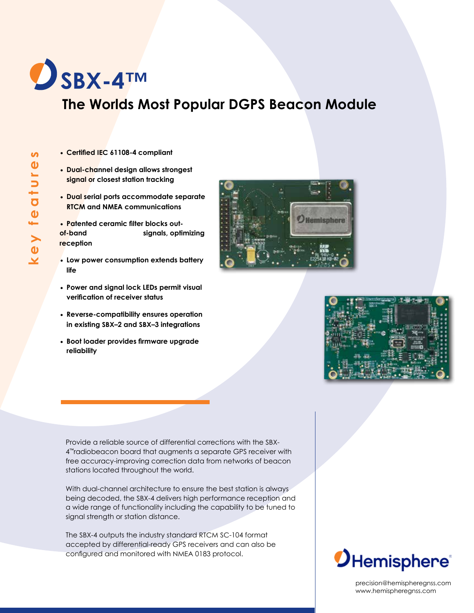

### **The Worlds Most Popular DGPS Beacon Module**

- **• Certified IEC 61108-4 compliant**
- **• Dual-channel design allows strongest signal or closest station tracking**
- **• Dual serial ports accommodate separate RTCM and NMEA communications**
- **• Patented ceramic filter blocks outof-band signals, optimizing reception**
- **• Low power consumption extends battery life**
- **• Power and signal lock LEDs permit visual verification of receiver status**
- **• Reverse-compatibility ensures operation in existing SBX–2 and SBX–3 integrations**
- **• Boot loader provides firmware upgrade reliability**

Provide a reliable source of differential corrections with the SBX-4™radiobeacon board that augments a separate GPS receiver with free accuracy-improving correction data from networks of beacon stations located throughout the world.

With dual-channel architecture to ensure the best station is always being decoded, the SBX-4 delivers high performance reception and a wide range of functionality including the capability to be tuned to signal strength or station distance.

The SBX-4 outputs the industry standard RTCM SC-104 format accepted by differential-ready GPS receivers and can also be configured and monitored with NMEA 0183 protocol.







precision@hemispheregnss.com www.hemispheregnss.com